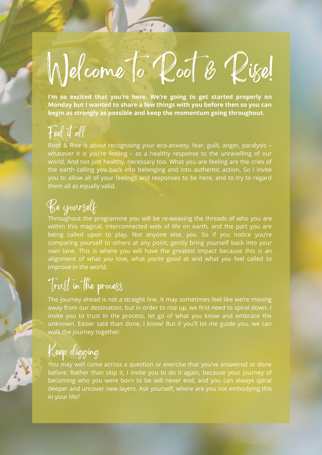# Welcome to Root & Rise!

**I'm so excited that you're here. We're going to get started properly on Monday but I wanted to share a few things with you before then so you can begin as strongly as possible and keep the momentum going throughout.**

#### Feel it all

Root & Rise is about recognising your eco-anxiety, fear, guilt, anger, paralysis – whatever it is you're feeling - as a healthy response to the unravelling of our world. And not just healthy, necessary too. What you are feeling are the cries of the earth calling you back into belonging and into authentic action. So I invite you to allow all of your feelings and responses to be here, and to try to regard them all as equally valid.

# Be yourself

Throughout the programme you will be re-weaving the threads of who you are within this magical, interconnected web of life on earth, and the part you are being called upon to play. Not anyone else, *you*. So if you notice you're comparing yourself to others at any point, gently bring yourself back into your own lane. This is where you will have the greatest impact because this is an alignment of what *you* love, what *you're* good at and what *you* feel called to improve in the world.

## Trust in the process

The journey ahead is not a straight line. It may sometimes feel like we're moving away from our destination, but in order to rise up, we first need to spiral down. I invite you to trust in the process, let go of what you know and embrace the unknown. Easier said than done, I know! But if you'll let me guide you, we can walk the journey together.

Keep digging

You may well come across a question or exercise that you've answered or done before. Rather than skip it, I invite you to do it again, because your journey of becoming who you were born to be will never end, and you can always spiral deeper and uncover new layers. Ask yourself, where are you not embodying this in your life?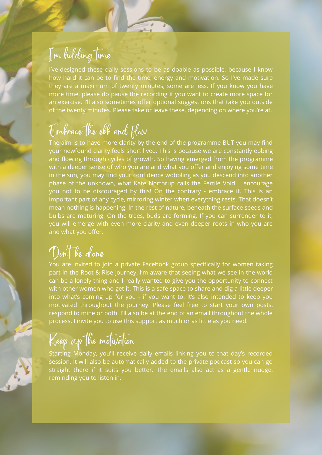#### I' m holding time

I've designed these daily sessions to be as doable as possible, because I know how hard it can be to find the time, energy and motivation. So I've made sure they are a maximum of twenty minutes, some are less. If you know you have more time, please do pause the recording if you want to create more space for an exercise. I'll also sometimes offer optional suggestions that take you outside of the twenty minutes. Please take or leave these, depending on where you're at.

#### Embrace the ebb and flow

The aim is to have more clarity by the end of the programme BUT you may find your newfound clarity feels short lived. This is because we are constantly ebbing and flowing through cycles of growth. So having emerged from the programme with a deeper sense of who you are and what you offer and enjoying some time in the sun, you may find your confidence wobbling as you descend into another phase of the unknown, what Kate Northrup calls the Fertile Void. I encourage you not to be discouraged by this! On the contrary - embrace it. This is an important part of any cycle, mirroring winter when everything rests. That doesn't mean nothing is happening. In the rest of nature, beneath the surface seeds and bulbs are maturing. On the trees, buds are forming. If you can surrender to it, you will emerge with even more clarity and even deeper roots in who you are and what you offer.

#### Don 't be alone

You are invited to join a private Facebook group specifically for women taking part in the Root & Rise journey. I'm aware that seeing what we see in the world can be a lonely thing and I really wanted to give you the opportunity to connect with other women who get it. This is a safe space to share and dig a little deeper into what's coming up for you - if you want to. It's also intended to keep you motivated throughout the journey. Please feel free to start your own posts, respond to mine or both. I'll also be at the end of an email throughout the whole process. I invite you to use this support as much or as little as you need.

## Keep up the motivation

Starting Monday, you'll receive daily emails linking you to that day's recorded session. It will also be automatically added to the private podcast so you can go straight there if it suits you better. The emails also act as a gentle nudge, reminding you to listen in.